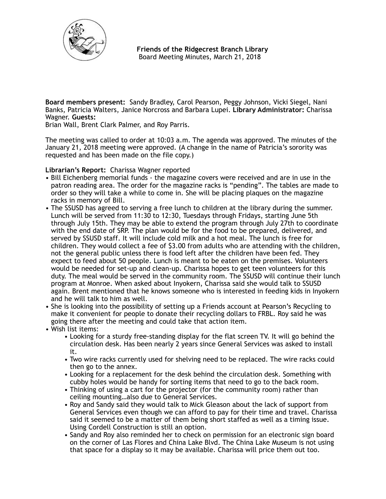

 **Friends of the Ridgecrest Branch Library**  Board Meeting Minutes, March 21, 2018

**Board members present:** Sandy Bradley, Carol Pearson, Peggy Johnson, Vicki Siegel, Nani Banks, Patricia Walters, Janice Norcross and Barbara Lupei. **Library Administrator:** Charissa Wagner. **Guests:** 

Brian Wall, Brent Clark Palmer, and Roy Parris.

The meeting was called to order at 10:03 a.m. The agenda was approved. The minutes of the January 21, 2018 meeting were approved. (A change in the name of Patricia's sorority was requested and has been made on the file copy.)

**Librarian's Report:** Charissa Wagner reported

- Bill Eichenberg memorial funds the magazine covers were received and are in use in the patron reading area. The order for the magazine racks is "pending". The tables are made to order so they will take a while to come in. She will be placing plaques on the magazine racks in memory of Bill.
- The SSUSD has agreed to serving a free lunch to children at the library during the summer. Lunch will be served from 11:30 to 12:30, Tuesdays through Fridays, starting June 5th through July 15th. They may be able to extend the program through July 27th to coordinate with the end date of SRP. The plan would be for the food to be prepared, delivered, and served by SSUSD staff. It will include cold milk and a hot meal. The lunch is free for children. They would collect a fee of \$3.00 from adults who are attending with the children, not the general public unless there is food left after the children have been fed. They expect to feed about 50 people. Lunch is meant to be eaten on the premises. Volunteers would be needed for set-up and clean-up. Charissa hopes to get teen volunteers for this duty. The meal would be served in the community room. The SSUSD will continue their lunch program at Monroe. When asked about Inyokern, Charissa said she would talk to SSUSD again. Brent mentioned that he knows someone who is interested in feeding kids in Inyokern and he will talk to him as well.
- She is looking into the possibility of setting up a Friends account at Pearson's Recycling to make it convenient for people to donate their recycling dollars to FRBL. Roy said he was going there after the meeting and could take that action item.
- Wish list items:
	- Looking for a sturdy free-standing display for the flat screen TV. It will go behind the circulation desk. Has been nearly 2 years since General Services was asked to install it.
	- Two wire racks currently used for shelving need to be replaced. The wire racks could then go to the annex.
	- Looking for a replacement for the desk behind the circulation desk. Something with cubby holes would be handy for sorting items that need to go to the back room.
	- Thinking of using a cart for the projector (for the community room) rather than ceiling mounting…also due to General Services.
	- Roy and Sandy said they would talk to Mick Gleason about the lack of support from General Services even though we can afford to pay for their time and travel. Charissa said it seemed to be a matter of them being short staffed as well as a timing issue. Using Cordell Construction is still an option.
	- Sandy and Roy also reminded her to check on permission for an electronic sign board on the corner of Las Flores and China Lake Blvd. The China Lake Museum is not using that space for a display so it may be available. Charissa will price them out too.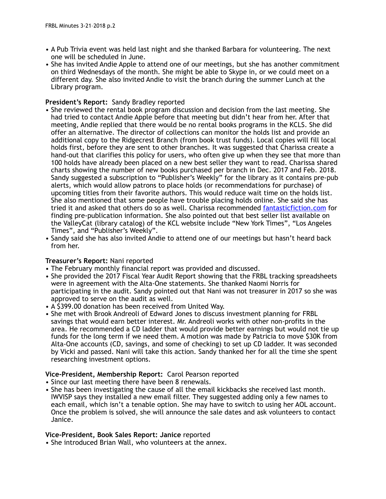- A Pub Trivia event was held last night and she thanked Barbara for volunteering. The next one will be scheduled in June.
- She has invited Andie Apple to attend one of our meetings, but she has another commitment on third Wednesdays of the month. She might be able to Skype in, or we could meet on a different day. She also invited Andie to visit the branch during the summer Lunch at the Library program.

# **President's Report:** Sandy Bradley reported

- She reviewed the rental book program discussion and decision from the last meeting. She had tried to contact Andie Apple before that meeting but didn't hear from her. After that meeting, Andie replied that there would be no rental books programs in the KCLS. She did offer an alternative. The director of collections can monitor the holds list and provide an additional copy to the Ridgecrest Branch (from book trust funds). Local copies will fill local holds first, before they are sent to other branches. It was suggested that Charissa create a hand-out that clarifies this policy for users, who often give up when they see that more than 100 holds have already been placed on a new best seller they want to read. Charissa shared charts showing the number of new books purchased per branch in Dec. 2017 and Feb. 2018. Sandy suggested a subscription to "Publisher's Weekly" for the library as it contains pre-pub alerts, which would allow patrons to place holds (or recommendations for purchase) of upcoming titles from their favorite authors. This would reduce wait time on the holds list. She also mentioned that some people have trouble placing holds online. She said she has tried it and asked that others do so as well. Charissa recommended [fantasticfiction.com](http://fantasticfiction.com) for finding pre-publication information. She also pointed out that best seller list available on the ValleyCat (library catalog) of the KCL website include "New York Times", "Los Angeles Times", and "Publisher's Weekly".
- Sandy said she has also invited Andie to attend one of our meetings but hasn't heard back from her.

# **Treasurer's Report:** Nani reported

- The February monthly financial report was provided and discussed.
- She provided the 2017 Fiscal Year Audit Report showing that the FRBL tracking spreadsheets were in agreement with the Alta-One statements. She thanked Naomi Norris for participating in the audit. Sandy pointed out that Nani was not treasurer in 2017 so she was approved to serve on the audit as well.
- A \$399.00 donation has been received from United Way.
- She met with Brook Andreoli of Edward Jones to discuss investment planning for FRBL savings that would earn better interest. Mr. Andreoli works with other non-profits in the area. He recommended a CD ladder that would provide better earnings but would not tie up funds for the long term if we need them. A motion was made by Patricia to move \$30K from Alta-One accounts (CD, savings, and some of checking) to set up CD ladder. It was seconded by Vicki and passed. Nani will take this action. Sandy thanked her for all the time she spent researching investment options.

## **Vice-President, Membership Report:** Carol Pearson reported

- Since our last meeting there have been 8 renewals.
- She has been investigating the cause of all the email kickbacks she received last month. IWVISP says they installed a new email filter. They suggested adding only a few names to each email, which isn't a tenable option. She may have to switch to using her AOL account. Once the problem is solved, she will announce the sale dates and ask volunteers to contact Janice.

## **Vice-President, Book Sales Report: Janice** reported

• She introduced Brian Wall, who volunteers at the annex.